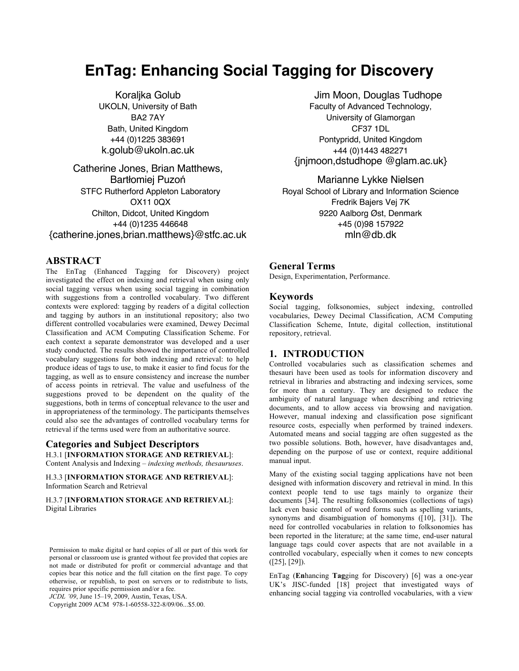# **EnTag: Enhancing Social Tagging for Discovery**

Koraljka Golub UKOLN, University of Bath BA2 7AY Bath, United Kingdom +44 (0)1225 383691 k.golub@ukoln.ac.uk

Catherine Jones, Brian Matthews, Bartłomiej Puzoń STFC Rutherford Appleton Laboratory OX11 0QX Chilton, Didcot, United Kingdom +44 (0)1235 446648 {catherine.jones,brian.matthews}@stfc.ac.uk

# **ABSTRACT**

The EnTag (Enhanced Tagging for Discovery) project investigated the effect on indexing and retrieval when using only social tagging versus when using social tagging in combination with suggestions from a controlled vocabulary. Two different contexts were explored: tagging by readers of a digital collection and tagging by authors in an institutional repository; also two different controlled vocabularies were examined, Dewey Decimal Classification and ACM Computing Classification Scheme. For each context a separate demonstrator was developed and a user study conducted. The results showed the importance of controlled vocabulary suggestions for both indexing and retrieval: to help produce ideas of tags to use, to make it easier to find focus for the tagging, as well as to ensure consistency and increase the number of access points in retrieval. The value and usefulness of the suggestions proved to be dependent on the quality of the suggestions, both in terms of conceptual relevance to the user and in appropriateness of the terminology. The participants themselves could also see the advantages of controlled vocabulary terms for retrieval if the terms used were from an authoritative source.

### **Categories and Subject Descriptors**  H.3.1 [**INFORMATION STORAGE AND RETRIEVAL**]: Content Analysis and Indexing – *indexing methods, thesauruses*.

H.3.3 [**INFORMATION STORAGE AND RETRIEVAL**]:

Information Search and Retrieval

H.3.7 [**INFORMATION STORAGE AND RETRIEVAL**]: Digital Libraries

Permission to make digital or hard copies of all or part of this work for personal or classroom use is granted without fee provided that copies are not made or distributed for profit or commercial advantage and that copies bear this notice and the full citation on the first page. To copy otherwise, or republish, to post on servers or to redistribute to lists, requires prior specific permission and/or a fee.

*JCDL '09*, June 15–19, 2009, Austin, Texas, USA.

Copyright 2009 ACM 978-1-60558-322-8/09/06...\$5.00.

Jim Moon, Douglas Tudhope Faculty of Advanced Technology, University of Glamorgan CF37 1DL Pontypridd, United Kingdom +44 (0)1443 482271 {jnjmoon,dstudhope @glam.ac.uk}

Marianne Lykke Nielsen Royal School of Library and Information Science Fredrik Bajers Vej 7K 9220 Aalborg Øst, Denmark +45 (0)98 157922 mln@db.dk

# **General Terms**

Design, Experimentation, Performance.

## **Keywords**

Social tagging, folksonomies, subject indexing, controlled vocabularies, Dewey Decimal Classification, ACM Computing Classification Scheme, Intute, digital collection, institutional repository, retrieval.

# **1. INTRODUCTION**

Controlled vocabularies such as classification schemes and thesauri have been used as tools for information discovery and retrieval in libraries and abstracting and indexing services, some for more than a century. They are designed to reduce the ambiguity of natural language when describing and retrieving documents, and to allow access via browsing and navigation. However, manual indexing and classification pose significant resource costs, especially when performed by trained indexers. Automated means and social tagging are often suggested as the two possible solutions. Both, however, have disadvantages and, depending on the purpose of use or context, require additional manual input.

Many of the existing social tagging applications have not been designed with information discovery and retrieval in mind. In this context people tend to use tags mainly to organize their documents [34]. The resulting folksonomies (collections of tags) lack even basic control of word forms such as spelling variants, synonyms and disambiguation of homonyms ([10], [31]). The need for controlled vocabularies in relation to folksonomies has been reported in the literature; at the same time, end-user natural language tags could cover aspects that are not available in a controlled vocabulary, especially when it comes to new concepts ([25], [29]).

EnTag (**En**hancing **Tag**ging for Discovery) [6] was a one-year UK's JISC-funded [18] project that investigated ways of enhancing social tagging via controlled vocabularies, with a view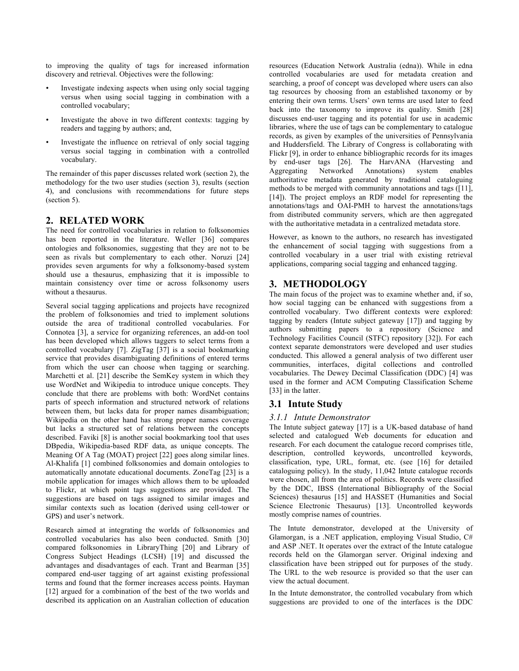to improving the quality of tags for increased information discovery and retrieval. Objectives were the following:

- Investigate indexing aspects when using only social tagging versus when using social tagging in combination with a controlled vocabulary;
- Investigate the above in two different contexts: tagging by readers and tagging by authors; and,
- Investigate the influence on retrieval of only social tagging versus social tagging in combination with a controlled vocabulary.

The remainder of this paper discusses related work (section 2), the methodology for the two user studies (section 3), results (section 4), and conclusions with recommendations for future steps (section 5).

# **2. RELATED WORK**

The need for controlled vocabularies in relation to folksonomies has been reported in the literature. Weller [36] compares ontologies and folksonomies, suggesting that they are not to be seen as rivals but complementary to each other. Noruzi [24] provides seven arguments for why a folksonomy-based system should use a thesaurus, emphasizing that it is impossible to maintain consistency over time or across folksonomy users without a thesaurus.

Several social tagging applications and projects have recognized the problem of folksonomies and tried to implement solutions outside the area of traditional controlled vocabularies. For Connotea [3], a service for organizing references, an add-on tool has been developed which allows taggers to select terms from a controlled vocabulary [7]. ZigTag [37] is a social bookmarking service that provides disambiguating definitions of entered terms from which the user can choose when tagging or searching. Marchetti et al. [21] describe the SemKey system in which they use WordNet and Wikipedia to introduce unique concepts. They conclude that there are problems with both: WordNet contains parts of speech information and structured network of relations between them, but lacks data for proper names disambiguation; Wikipedia on the other hand has strong proper names coverage but lacks a structured set of relations between the concepts described. Faviki [8] is another social bookmarking tool that uses DBpedia, Wikipedia-based RDF data, as unique concepts. The Meaning Of A Tag (MOAT) project [22] goes along similar lines. Al-Khalifa [1] combined folksonomies and domain ontologies to automatically annotate educational documents. ZoneTag [23] is a mobile application for images which allows them to be uploaded to Flickr, at which point tags suggestions are provided. The suggestions are based on tags assigned to similar images and similar contexts such as location (derived using cell-tower or GPS) and user's network.

Research aimed at integrating the worlds of folksonomies and controlled vocabularies has also been conducted. Smith [30] compared folksonomies in LibraryThing [20] and Library of Congress Subject Headings (LCSH) [19] and discussed the advantages and disadvantages of each. Trant and Bearman [35] compared end-user tagging of art against existing professional terms and found that the former increases access points. Hayman [12] argued for a combination of the best of the two worlds and described its application on an Australian collection of education

resources (Education Network Australia (edna)). While in edna controlled vocabularies are used for metadata creation and searching, a proof of concept was developed where users can also tag resources by choosing from an established taxonomy or by entering their own terms. Users' own terms are used later to feed back into the taxonomy to improve its quality. Smith [28] discusses end-user tagging and its potential for use in academic libraries, where the use of tags can be complementary to catalogue records, as given by examples of the universities of Pennsylvania and Huddersfield. The Library of Congress is collaborating with Flickr [9], in order to enhance bibliographic records for its images by end-user tags [26]. The HarvANA (Harvesting and Aggregating Networked Annotations) system enables authoritative metadata generated by traditional cataloguing methods to be merged with community annotations and tags ([11], [14]). The project employs an RDF model for representing the annotations/tags and OAI-PMH to harvest the annotations/tags from distributed community servers, which are then aggregated with the authoritative metadata in a centralized metadata store.

However, as known to the authors, no research has investigated the enhancement of social tagging with suggestions from a controlled vocabulary in a user trial with existing retrieval applications, comparing social tagging and enhanced tagging.

# **3. METHODOLOGY**

The main focus of the project was to examine whether and, if so, how social tagging can be enhanced with suggestions from a controlled vocabulary. Two different contexts were explored: tagging by readers (Intute subject gateway [17]) and tagging by authors submitting papers to a repository (Science and Technology Facilities Council (STFC) repository [32]). For each context separate demonstrators were developed and user studies conducted. This allowed a general analysis of two different user communities, interfaces, digital collections and controlled vocabularies. The Dewey Decimal Classification (DDC) [4] was used in the former and ACM Computing Classification Scheme [33] in the latter.

# **3.1 Intute Study**

## *3.1.1 Intute Demonstrator*

The Intute subject gateway [17] is a UK-based database of hand selected and catalogued Web documents for education and research. For each document the catalogue record comprises title, description, controlled keywords, uncontrolled keywords, classification, type, URL, format, etc. (see [16] for detailed cataloguing policy). In the study, 11,042 Intute catalogue records were chosen, all from the area of politics. Records were classified by the DDC, IBSS (International Bibliography of the Social Sciences) thesaurus [15] and HASSET (Humanities and Social Science Electronic Thesaurus) [13]. Uncontrolled keywords mostly comprise names of countries.

The Intute demonstrator, developed at the University of Glamorgan, is a .NET application, employing Visual Studio, C# and ASP .NET. It operates over the extract of the Intute catalogue records held on the Glamorgan server. Original indexing and classification have been stripped out for purposes of the study. The URL to the web resource is provided so that the user can view the actual document.

In the Intute demonstrator, the controlled vocabulary from which suggestions are provided to one of the interfaces is the DDC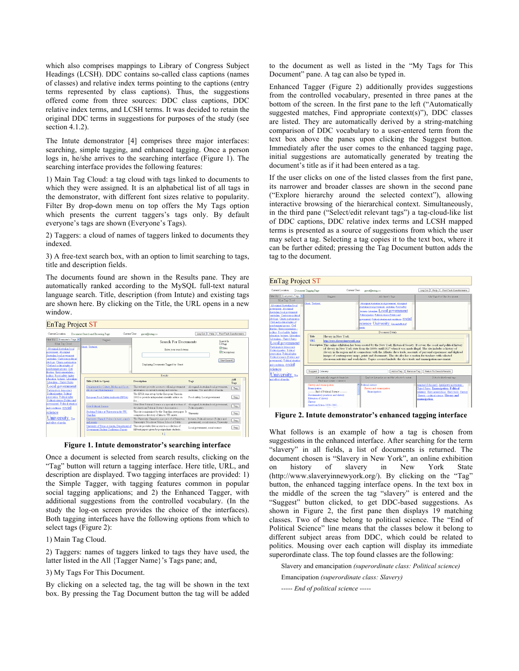which also comprises mappings to Library of Congress Subject Headings (LCSH). DDC contains so-called class captions (names of classes) and relative index terms pointing to the captions (entry terms represented by class captions). Thus, the suggestions offered come from three sources: DDC class captions, DDC relative index terms, and LCSH terms. It was decided to retain the original DDC terms in suggestions for purposes of the study (see section 4.1.2).

The Intute demonstrator [4] comprises three major interfaces: searching, simple tagging, and enhanced tagging. Once a person logs in, he/she arrives to the searching interface (Figure 1). The searching interface provides the following features:

1) Main Tag Cloud: a tag cloud with tags linked to documents to which they were assigned. It is an alphabetical list of all tags in the demonstrator, with different font sizes relative to popularity. Filter By drop-down menu on top offers the My Tags option which presents the current taggers's tags only. By default everyone's tags are shown (Everyone's Tags).

2) Taggers: a cloud of names of taggers linked to documents they indexed.

3) A free-text search box, with an option to limit searching to tags, title and description fields.

The documents found are shown in the Results pane. They are automatically ranked according to the MySQL full-text natural language search. Title, description (from Intute) and existing tags are shown here. By clicking on the Title, the URL opens in a new window.



**Figure 1. Intute demonstrator's searching interface** 

Once a document is selected from search results, clicking on the "Tag" button will return a tagging interface. Here title, URL, and description are displayed. Two tagging interfaces are provided: 1) the Simple Tagger, with tagging features common in popular social tagging applications; and 2) the Enhanced Tagger, with additional suggestions from the controlled vocabulary. (In the study the log-on screen provides the choice of the interfaces). Both tagging interfaces have the following options from which to select tags (Figure 2):

1) Main Tag Cloud.

2) Taggers: names of taggers linked to tags they have used, the latter listed in the All {Tagger Name}'s Tags pane; and,

3) My Tags For This Document.

By clicking on a selected tag, the tag will be shown in the text box. By pressing the Tag Document button the tag will be added to the document as well as listed in the "My Tags for This Document" pane. A tag can also be typed in.

Enhanced Tagger (Figure 2) additionally provides suggestions from the controlled vocabulary, presented in three panes at the bottom of the screen. In the first pane to the left ("Automatically suggested matches, Find appropriate context(s)"), DDC classes are listed. They are automatically derived by a string-matching comparison of DDC vocabulary to a user-entered term from the text box above the panes upon clicking the Suggest button. Immediately after the user comes to the enhanced tagging page, initial suggestions are automatically generated by treating the document's title as if it had been entered as a tag.

If the user clicks on one of the listed classes from the first pane, its narrower and broader classes are shown in the second pane ("Explore hierarchy around the selected context"), allowing interactive browsing of the hierarchical context. Simultaneously, in the third pane ("Select/edit relevant tags") a tag-cloud-like list of DDC captions, DDC relative index terms and LCSH mapped terms is presented as a source of suggestions from which the user may select a tag. Selecting a tag copies it to the text box, where it can be further edited; pressing the Tag Document button adds the tag to the document.

| <b>EnTag Project ST</b>                                                                                                                                                                                                                                                                                                                                            |                                                                                                                                                                                                 |                                                                                                                                                                                                                                                                                                                                                                                                                                                                        |                                                                                                                                                                                                    |
|--------------------------------------------------------------------------------------------------------------------------------------------------------------------------------------------------------------------------------------------------------------------------------------------------------------------------------------------------------------------|-------------------------------------------------------------------------------------------------------------------------------------------------------------------------------------------------|------------------------------------------------------------------------------------------------------------------------------------------------------------------------------------------------------------------------------------------------------------------------------------------------------------------------------------------------------------------------------------------------------------------------------------------------------------------------|----------------------------------------------------------------------------------------------------------------------------------------------------------------------------------------------------|
| Current Location:                                                                                                                                                                                                                                                                                                                                                  | Current User:<br>Dorsment Tagging Page                                                                                                                                                          | guest@entag.co.                                                                                                                                                                                                                                                                                                                                                                                                                                                        | Post-Tesk Questionnaire<br>Log Out<br>Help                                                                                                                                                         |
| Filter By: Everyone's Togs<br>Man Tag Cloud                                                                                                                                                                                                                                                                                                                        | Taggers                                                                                                                                                                                         | All Goest's Tags                                                                                                                                                                                                                                                                                                                                                                                                                                                       | My Tags For This Document                                                                                                                                                                          |
| Aborizinal Australian local<br>government Aboriginal<br>Australian local government<br>australian Castroism-political<br>deology Chizen participation<br>Civil and political rights of<br>nondominant groups Civil<br>berties Environmentalism -<br>politics Food safety higher<br>education lectures Liberalism<br>Liberalism - United States<br>Local government | <b>Guest Testuser</b><br>Title<br>Slavery in New York<br>IIRI.<br>http://www.slavervinnewvork.org/                                                                                              | Aboriginal Australian lood government Aboriginal<br>Australian local government, australian, Food sufety<br>tectures Liberalism Local government<br>Political narties. Political science (Politics and<br>government). Political rituation and conditions. SOCIAL<br>science University geometrical<br>media<br>Document Details<br>Description This online exhibition has been created by the New York Historical Society. It covers the social and political history |                                                                                                                                                                                                    |
| Participatory democracy.<br>Political parties Political<br>persecution Political rights<br>Political science (Politics and<br>government) Political situation<br>and conditions SOCIAL                                                                                                                                                                             |                                                                                                                                                                                                 | of slavery in New York state from the 1600s until 1827 when it was made illegal. The site includes a history of<br>slavery in the region and its connections with the Atlantic slave trade, accounts of personal experiences and digitised<br>images of contemporary maps, prints and documents. The site also has a section for teachers with selected<br>classroom activities and worksheets. Topics covered include: the slave trade and emancipation movement.     |                                                                                                                                                                                                    |
| science<br>University Use                                                                                                                                                                                                                                                                                                                                          | Support<br>slevery                                                                                                                                                                              | Remove Tag<br>Add a Teg                                                                                                                                                                                                                                                                                                                                                                                                                                                | Return To Search Results                                                                                                                                                                           |
| and effect of media                                                                                                                                                                                                                                                                                                                                                | Automatically suggested matches<br>End appropriate context(s)                                                                                                                                   | Explore luerarchy around the selected context                                                                                                                                                                                                                                                                                                                                                                                                                          | Select/edit relevant tags                                                                                                                                                                          |
|                                                                                                                                                                                                                                                                                                                                                                    | Slavery and emancipation<br>Emancio ation<br>------- End of Political Science -------<br>Discriminatory practices and slavery<br>Extension of slavery<br>Slavery<br>American fiction-1830-1861. | A Political science<br>Slavery and emancipation<br>Emantipation                                                                                                                                                                                                                                                                                                                                                                                                        | Amistad (Schooner) Antislavery movements -<br>United States, Emancipation, Political<br>science Slave insurrections Slave trade Slavery<br>Slavery - political science Slavery and<br>emancipation |

**Figure 2. Intute demonstrator's enhanced tagging interface** 

What follows is an example of how a tag is chosen from suggestions in the enhanced interface. After searching for the term "slavery" in all fields, a list of documents is returned. The document chosen is "Slavery in New York", an online exhibition on history of slavery in New York State (http://www.slaveryinnewyork.org/). By clicking on the "Tag" button, the enhanced tagging interface opens. In the text box in the middle of the screen the tag "slavery" is entered and the "Suggest" button clicked, to get DDC-based suggestions. As shown in Figure 2, the first pane then displays 19 matching classes. Two of these belong to political science. The "End of Political Science" line means that the classes below it belong to different subject areas from DDC, which could be related to politics. Mousing over each caption will display its immediate superordinate class. The top found classes are the following:

Slavery and emancipation *(superordinate class: Political science)*

Emancipation *(superordinate class: Slavery)* 

*----- End of political science -----*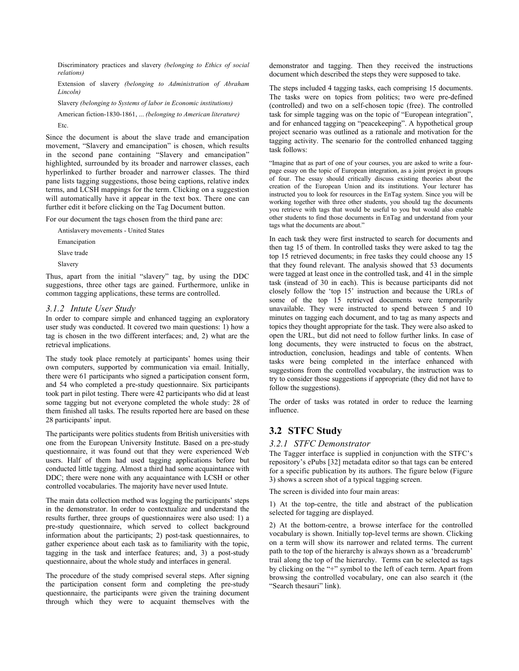Discriminatory practices and slavery *(belonging to Ethics of social relations)*

Extension of slavery *(belonging to Administration of Abraham Lincoln)*

Slavery *(belonging to Systems of labor in Economic institutions)*

American fiction-1830-1861, ... *(belonging to American literature)* Etc.

Since the document is about the slave trade and emancipation movement, "Slavery and emancipation" is chosen, which results in the second pane containing "Slavery and emancipation" highlighted, surrounded by its broader and narrower classes, each hyperlinked to further broader and narrower classes. The third pane lists tagging suggestions, those being captions, relative index terms, and LCSH mappings for the term. Clicking on a suggestion will automatically have it appear in the text box. There one can further edit it before clicking on the Tag Document button.

For our document the tags chosen from the third pane are:

Antislavery movements - United States

Emancipation

Slave trade

Slavery

Thus, apart from the initial "slavery" tag, by using the DDC suggestions, three other tags are gained. Furthermore, unlike in common tagging applications, these terms are controlled.

## *3.1.2 Intute User Study*

In order to compare simple and enhanced tagging an exploratory user study was conducted. It covered two main questions: 1) how a tag is chosen in the two different interfaces; and, 2) what are the retrieval implications.

The study took place remotely at participants' homes using their own computers, supported by communication via email. Initially, there were 61 participants who signed a participation consent form, and 54 who completed a pre-study questionnaire. Six participants took part in pilot testing. There were 42 participants who did at least some tagging but not everyone completed the whole study: 28 of them finished all tasks. The results reported here are based on these 28 participants' input.

The participants were politics students from British universities with one from the European University Institute. Based on a pre-study questionnaire, it was found out that they were experienced Web users. Half of them had used tagging applications before but conducted little tagging. Almost a third had some acquaintance with DDC; there were none with any acquaintance with LCSH or other controlled vocabularies. The majority have never used Intute.

The main data collection method was logging the participants' steps in the demonstrator. In order to contextualize and understand the results further, three groups of questionnaires were also used: 1) a pre-study questionnaire, which served to collect background information about the participants; 2) post-task questionnaires, to gather experience about each task as to familiarity with the topic, tagging in the task and interface features; and, 3) a post-study questionnaire, about the whole study and interfaces in general.

The procedure of the study comprised several steps. After signing the participation consent form and completing the pre-study questionnaire, the participants were given the training document through which they were to acquaint themselves with the

demonstrator and tagging. Then they received the instructions document which described the steps they were supposed to take.

The steps included 4 tagging tasks, each comprising 15 documents. The tasks were on topics from politics; two were pre-defined (controlled) and two on a self-chosen topic (free). The controlled task for simple tagging was on the topic of "European integration", and for enhanced tagging on "peacekeeping". A hypothetical group project scenario was outlined as a rationale and motivation for the tagging activity. The scenario for the controlled enhanced tagging task follows:

"Imagine that as part of one of your courses, you are asked to write a fourpage essay on the topic of European integration, as a joint project in groups of four. The essay should critically discuss existing theories about the creation of the European Union and its institutions. Your lecturer has instructed you to look for resources in the EnTag system. Since you will be working together with three other students, you should tag the documents you retrieve with tags that would be useful to you but would also enable other students to find those documents in EnTag and understand from your tags what the documents are about."

In each task they were first instructed to search for documents and then tag 15 of them. In controlled tasks they were asked to tag the top 15 retrieved documents; in free tasks they could choose any 15 that they found relevant. The analysis showed that 53 documents were tagged at least once in the controlled task, and 41 in the simple task (instead of 30 in each). This is because participants did not closely follow the 'top 15' instruction and because the URLs of some of the top 15 retrieved documents were temporarily unavailable. They were instructed to spend between 5 and 10 minutes on tagging each document, and to tag as many aspects and topics they thought appropriate for the task. They were also asked to open the URL, but did not need to follow further links. In case of long documents, they were instructed to focus on the abstract, introduction, conclusion, headings and table of contents. When tasks were being completed in the interface enhanced with suggestions from the controlled vocabulary, the instruction was to try to consider those suggestions if appropriate (they did not have to follow the suggestions).

The order of tasks was rotated in order to reduce the learning influence.

# **3.2 STFC Study**

#### *3.2.1 STFC Demonstrator*

The Tagger interface is supplied in conjunction with the STFC's repository's ePubs [32] metadata editor so that tags can be entered for a specific publication by its authors. The figure below (Figure 3) shows a screen shot of a typical tagging screen.

The screen is divided into four main areas:

1) At the top-centre, the title and abstract of the publication selected for tagging are displayed.

2) At the bottom-centre, a browse interface for the controlled vocabulary is shown. Initially top-level terms are shown. Clicking on a term will show its narrower and related terms. The current path to the top of the hierarchy is always shown as a 'breadcrumb' trail along the top of the hierarchy. Terms can be selected as tags by clicking on the "+" symbol to the left of each term. Apart from browsing the controlled vocabulary, one can also search it (the "Search thesauri" link).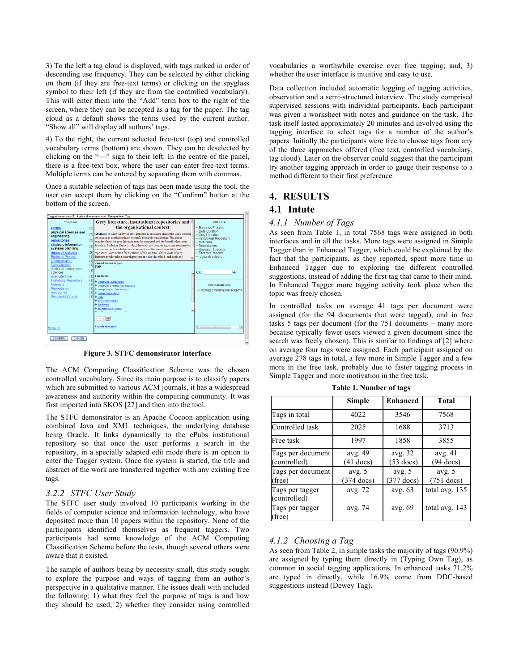3) To the left a tag cloud is displayed, with tags ranked in order of descending use frequency. They can be selected by either clicking on them (if they are free-text terms) or clicking on the spyglass symbol to their left (if they are from the controlled vocabulary). This will enter them into the "Add" term box to the right of the screen, where they can be accepted as a tag for the paper. The tag cloud as a default shows the terms used by the current author. "Show all" will display all authors' tags.

4) To the right, the current selected free-text (top) and controlled vocabulary terms (bottom) are shown. They can be deselected by clicking on the "—" sign to their left. In the centre of the panel, there is a free-text box, where the user can enter free-text terms. Multiple terms can be entered by separating them with commas.

Once a suitable selection of tags has been made using the tool, the user can accept them by clicking on the "Confirm" button at the bottom of the screen.

|                                   | Logged user: cmg45_Active thesaurus: acm_Perspective: Tag                                                                                                        |                                            |
|-----------------------------------|------------------------------------------------------------------------------------------------------------------------------------------------------------------|--------------------------------------------|
| <b>TAG CLOUD</b>                  | Grey literature, institutional repositories and                                                                                                                  | <b>FREE TAGS</b>                           |
| ePubs<br>physical sciences and    | the organisational context<br>(3)                                                                                                                                | <b>Business Process</b><br>Data Curation   |
| engineering                       | (3) Abstract: A wide variety of grey literature is produced during the work carried                                                                              | <b>Grev Literature</b>                     |
| repositories                      | out at a large multidisciplinary scientific research organisation. This paper                                                                                    | Institutional Repository                   |
| strategic information             | (3) examines how the grey literature may be managed and the benefits that result.<br>Trends in Technical Reports, which have always been an important medium for | Metadata<br>Repositories                   |
| systems planning                  | (3)<br>transmission of knowledge, are examined, and the use of an institutional                                                                                  | Research Lifecycle                         |
| research outputs                  | (2) repository is advocated for the future of the medium. Other kinds of grey                                                                                    | <b>Technical reports</b>                   |
| <b>Business Process</b>           | (1) literature produced in research projects are also described, and again the<br>$\ddot{ }$                                                                     | research outputs                           |
| communication                     | 71<br>Current the saurus path:                                                                                                                                   |                                            |
| <b>Data Curation</b>              | (1)<br>TOP                                                                                                                                                       |                                            |
| earth and atmospheric<br>sciences | (1)                                                                                                                                                              | Add:                                       |
| <b>Grev Literature</b>            | 치<br>$(1)$ Top terms:                                                                                                                                            |                                            |
| Institutional Repository          | $(1)$ $+$ computer applications                                                                                                                                  |                                            |
| Metadata                          | (1) + computer systems organization                                                                                                                              | <b>CONTROLLED TAGS</b>                     |
| <b>Repositories</b>               | $(1)$ $\bullet$ computing methodologies                                                                                                                          | strategic information systems              |
| repostories                       | $(1)$ $\blacktriangleright$ computing milieux                                                                                                                    |                                            |
| <b>Research Lifecycle</b>         | $(1)$ + data                                                                                                                                                     |                                            |
|                                   | + general literature                                                                                                                                             |                                            |
|                                   | + hardware                                                                                                                                                       |                                            |
|                                   | information systems<br>attachment of a communities                                                                                                               |                                            |
|                                   |                                                                                                                                                                  |                                            |
|                                   | $acm \sim  OK $                                                                                                                                                  |                                            |
|                                   | <b>Search thesauri</b>                                                                                                                                           |                                            |
| Show all                          |                                                                                                                                                                  | $\rightarrow$<br>$\vert$ < $\vert$<br>i mi |
|                                   |                                                                                                                                                                  |                                            |
| <b>CONFIRM</b><br>CANCEL          |                                                                                                                                                                  |                                            |

**Figure 3. STFC demonstrator interface** 

The ACM Computing Classification Scheme was the chosen controlled vocabulary. Since its main purpose is to classify papers which are submitted to various ACM journals, it has a widespread awareness and authority within the computing community. It was first imported into SKOS [27] and then into the tool.

The STFC demonstrator is an Apache Cocoon application using combined Java and XML techniques, the underlying database being Oracle. It links dynamically to the ePubs institutional repository so that once the user performs a search in the repository, in a specially adapted edit mode there is an option to enter the Tagger system. Once the system is started, the title and abstract of the work are transferred together with any existing free tags.

## *3.2.2 STFC User Study*

The STFC user study involved 10 participants working in the fields of computer science and information technology, who have deposited more than 10 papers within the repository. None of the participants identified themselves as frequent taggers. Two participants had some knowledge of the ACM Computing Classification Scheme before the tests, though several others were aware that it existed.

The sample of authors being by necessity small, this study sought to explore the purpose and ways of tagging from an author's perspective in a qualitative manner. The issues dealt with included the following: 1) what they feel the purpose of tags is and how they should be used; 2) whether they consider using controlled

vocabularies a worthwhile exercise over free tagging; and, 3) whether the user interface is intuitive and easy to use.

Data collection included automatic logging of tagging activities, observation and a semi-structured interview. The study comprised supervised sessions with individual participants. Each participant was given a worksheet with notes and guidance on the task. The task itself lasted approximately 20 minutes and involved using the tagging interface to select tags for a number of the author's papers. Initially the participants were free to choose tags from any of the three approaches offered (free text, controlled vocabulary, tag cloud). Later on the observer could suggest that the participant try another tagging approach in order to gauge their response to a method different to their first preference.

# **4. RESULTS**

# **4.1 Intute**

#### *4.1.1 Number of Tags*

As seen from Table 1, in total 7568 tags were assigned in both interfaces and in all the tasks. More tags were assigned in Simple Tagger than in Enhanced Tagger, which could be explained by the fact that the participants, as they reported, spent more time in Enhanced Tagger due to exploring the different controlled suggestions, instead of adding the first tag that came to their mind. In Enhanced Tagger more tagging activity took place when the topic was freely chosen.

In controlled tasks on average 41 tags per document were assigned (for the 94 documents that were tagged), and in free tasks 5 tags per document (for the 751 documents – many more because typically fewer users viewed a given document since the search was freely chosen). This is similar to findings of [2] where on average four tags were assigned. Each participant assigned on average 278 tags in total, a few more in Simple Tagger and a few more in the free task, probably due to faster tagging process in Simple Tagger and more motivation in the free task.

|                                   | Simple                           | <b>Enhanced</b>                  | <b>Total</b>             |
|-----------------------------------|----------------------------------|----------------------------------|--------------------------|
| Tags in total                     | 4022                             | 3546                             | 7568                     |
| Controlled task                   | 2025                             | 1688                             | 3713                     |
| Free task                         | 1997                             | 1858                             | 3855                     |
| Tags per document<br>(controlled) | avg. 49<br>$(41$ docs)           | avg. 32<br>$(53$ docs)           | avg. $41$<br>$(94$ docs) |
| Tags per document<br>(free)       | avg. $5$<br>$(374 \text{ docs})$ | avg. $5$<br>$(377 \text{ docs})$ | avg. $5$<br>$(751$ docs) |
| Tags per tagger<br>(controlled)   | avg. 72                          | avg. 63                          | total avg. 135           |
| Tags per tagger<br>(free)         | avg. 74                          | avg. 69                          | total avg. 143           |

**Table 1. Number of tags** 

#### *4.1.2 Choosing a Tag*

As seen from Table 2, in simple tasks the majority of tags (90.9%) are assigned by typing them directly in (Typing Own Tag), as common in social tagging applications. In enhanced tasks 71.2% are typed in directly, while 16.9% come from DDC-based suggestions instead (Dewey Tag).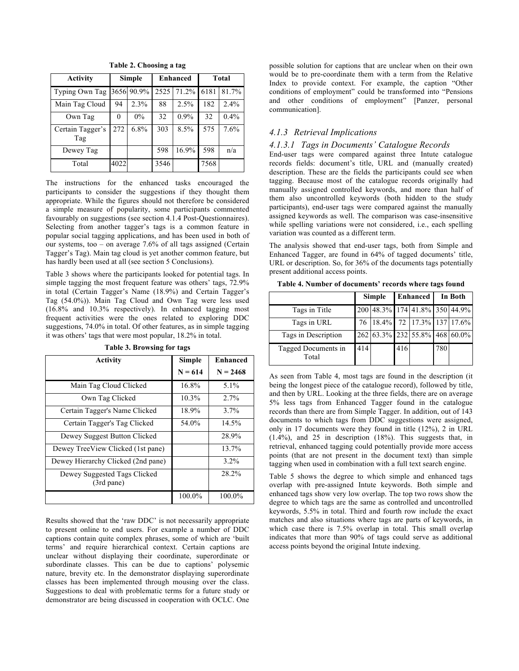| Activity                | <b>Simple</b> |            |      | Enhanced   | Total |         |
|-------------------------|---------------|------------|------|------------|-------|---------|
| Typing Own Tag          |               | 3656 90.9% |      | 2525 71.2% | 6181  | 81.7%   |
| Main Tag Cloud          | 94            | 2.3%       | 88   | 2.5%       | 182   | 2.4%    |
| Own Tag                 | 0             | $0\%$      | 32   | 0.9%       | 32    | $0.4\%$ |
| Certain Tagger's<br>Tag | 272           | 6.8%       | 303  | 8.5%       | 575   | 7.6%    |
| Dewey Tag               |               |            | 598  | 16.9%      | 598   | n/a     |
| Total                   | 4022          |            | 3546 |            | 7568  |         |

**Table 2. Choosing a tag** 

The instructions for the enhanced tasks encouraged the participants to consider the suggestions if they thought them appropriate. While the figures should not therefore be considered a simple measure of popularity, some participants commented favourably on suggestions (see section 4.1.4 Post-Questionnaires). Selecting from another tagger's tags is a common feature in popular social tagging applications, and has been used in both of our systems, too – on average 7.6% of all tags assigned (Certain Tagger's Tag). Main tag cloud is yet another common feature, but has hardly been used at all (see section 5 Conclusions).

Table 3 shows where the participants looked for potential tags. In simple tagging the most frequent feature was others' tags, 72.9% in total (Certain Tagger's Name (18.9%) and Certain Tagger's Tag (54.0%)). Main Tag Cloud and Own Tag were less used (16.8% and 10.3% respectively). In enhanced tagging most frequent activities were the ones related to exploring DDC suggestions, 74.0% in total. Of other features, as in simple tagging it was others' tags that were most popular, 18.2% in total.

| <b>Activity</b>                            | Simple    | <b>Enhanced</b> |
|--------------------------------------------|-----------|-----------------|
|                                            | $N = 614$ | $N = 2468$      |
| Main Tag Cloud Clicked                     | 16.8%     | $5.1\%$         |
| Own Tag Clicked                            | 10.3%     | 2.7%            |
| Certain Tagger's Name Clicked              | 18.9%     | $3.7\%$         |
| Certain Tagger's Tag Clicked               | 54.0%     | 14.5%           |
| Dewey Suggest Button Clicked               |           | 28.9%           |
| Dewey TreeView Clicked (1st pane)          |           | 13.7%           |
| Dewey Hierarchy Clicked (2nd pane)         |           | $3.2\%$         |
| Dewey Suggested Tags Clicked<br>(3rd pane) |           | 28.2%           |
|                                            | 100.0%    | 100.0%          |

**Table 3. Browsing for tags** 

Results showed that the 'raw DDC' is not necessarily appropriate to present online to end users. For example a number of DDC captions contain quite complex phrases, some of which are 'built terms' and require hierarchical context. Certain captions are unclear without displaying their coordinate, superordinate or subordinate classes. This can be due to captions' polysemic nature, brevity etc. In the demonstrator displaying superordinate classes has been implemented through mousing over the class. Suggestions to deal with problematic terms for a future study or demonstrator are being discussed in cooperation with OCLC. One possible solution for captions that are unclear when on their own would be to pre-coordinate them with a term from the Relative Index to provide context. For example, the caption "Other conditions of employment" could be transformed into "Pensions and other conditions of employment" [Panzer, personal communication].

## *4.1.3 Retrieval Implications*

#### *4.1.3.1 Tags in Documents' Catalogue Records*

End-user tags were compared against three Intute catalogue records fields: document's title, URL and (manually created) description. These are the fields the participants could see when tagging. Because most of the catalogue records originally had manually assigned controlled keywords, and more than half of them also uncontrolled keywords (both hidden to the study participants), end-user tags were compared against the manually assigned keywords as well. The comparison was case-insensitive while spelling variations were not considered, i.e., each spelling variation was counted as a different term.

The analysis showed that end-user tags, both from Simple and Enhanced Tagger, are found in 64% of tagged documents' title, URL or description. So, for 36% of the documents tags potentially present additional access points.

| Table 4. Number of documents' records where tags found |  |
|--------------------------------------------------------|--|
|--------------------------------------------------------|--|

|                              | <b>Simple</b> |                                       | Enhanced |  | In Both |  |
|------------------------------|---------------|---------------------------------------|----------|--|---------|--|
| Tags in Title                |               | 200 48.3% 174 41.8% 350 44.9%         |          |  |         |  |
| Tags in URL                  |               | 76   18.4%   72   17.3%   137   17.6% |          |  |         |  |
| Tags in Description          |               | 262 63.3% 232 55.8% 468 60.0%         |          |  |         |  |
| Tagged Documents in<br>Total | 414           |                                       | 416      |  | 780     |  |

As seen from Table 4, most tags are found in the description (it being the longest piece of the catalogue record), followed by title, and then by URL. Looking at the three fields, there are on average 5% less tags from Enhanced Tagger found in the catalogue records than there are from Simple Tagger. In addition, out of 143 documents to which tags from DDC suggestions were assigned, only in 17 documents were they found in title (12%), 2 in URL (1.4%), and 25 in description (18%). This suggests that, in retrieval, enhanced tagging could potentially provide more access points (that are not present in the document text) than simple tagging when used in combination with a full text search engine.

Table 5 shows the degree to which simple and enhanced tags overlap with pre-assigned Intute keywords. Both simple and enhanced tags show very low overlap. The top two rows show the degree to which tags are the same as controlled and uncontrolled keywords, 5.5% in total. Third and fourth row include the exact matches and also situations where tags are parts of keywords, in which case there is 7.5% overlap in total. This small overlap indicates that more than 90% of tags could serve as additional access points beyond the original Intute indexing.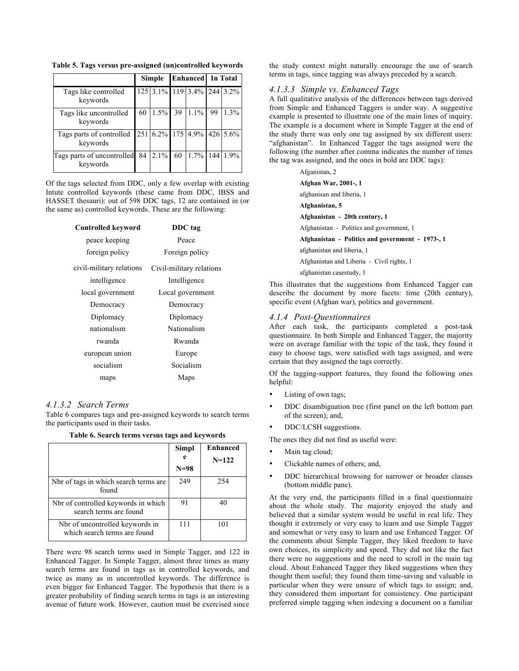|                                        | <b>Simple</b> |            | <b>Enhanced</b> In Total |                            |    |      |
|----------------------------------------|---------------|------------|--------------------------|----------------------------|----|------|
| Tags like controlled<br>keywords       |               |            |                          | 125 3.1% 119 3.4% 244 3.2% |    |      |
| Tags like uncontrolled<br>keywords     | 60            | $1.5\%$ 39 |                          | $1.1\%$                    | 99 | 1.3% |
| Tags parts of controlled<br>keywords   |               |            |                          | 251 6.2% 175 4.9% 426 5.6% |    |      |
| Tags parts of uncontrolled<br>keywords | 84            | $2.1\%$    |                          | 60 1.7% 144 1.9%           |    |      |

**Table 5. Tags versus pre-assigned (un)controlled keywords** 

Of the tags selected from DDC, only a few overlap with existing Intute controlled keywords (these came from DDC, IBSS and HASSET thesauri): out of 598 DDC tags, 12 are contained in (or the same as) controlled keywords. These are the following:

| <b>Controlled keyword</b> | DDC tag                  |
|---------------------------|--------------------------|
| peace keeping             | Peace                    |
| foreign policy            | Foreign policy           |
| civil-military relations  | Civil-military relations |
| intelligence              | Intelligence             |
| local government          | Local government         |
| Democracy                 | Democracy                |
| Diplomacy                 | Diplomacy                |
| nationalism               | Nationalism              |
| rwanda                    | Rwanda                   |
| european union            | Europe                   |
| socialism                 | Socialism                |
| maps                      | Maps                     |

#### *4.1.3.2 Search Terms*

Table 6 compares tags and pre-assigned keywords to search terms the participants used in their tasks.

**Table 6. Search terms versus tags and keywords** 

|                                                                 | Simpl<br>e | <b>Enhanced</b><br>$N=122$ |
|-----------------------------------------------------------------|------------|----------------------------|
|                                                                 | $N=98$     |                            |
| Nbr of tags in which search terms are<br>found                  | 249        | 254                        |
| Nbr of controlled keywords in which<br>search terms are found   | 91         | 40                         |
| Nbr of uncontrolled keywords in<br>which search terms are found | 111        | 101                        |

There were 98 search terms used in Simple Tagger, and 122 in Enhanced Tagger. In Simple Tagger, almost three times as many search terms are found in tags as in controlled keywords, and twice as many as in uncontrolled keywords. The difference is even bigger for Enhanced Tagger. The hypothesis that there is a greater probability of finding search terms in tags is an interesting avenue of future work. However, caution must be exercised since

the study context might naturally encourage the use of search terms in tags, since tagging was always preceded by a search.

## *4.1.3.3 Simple vs. Enhanced Tags*

A full qualitative analysis of the differences between tags derived from Simple and Enhanced Taggers is under way. A suggestive example is presented to illustrate one of the main lines of inquiry. The example is a document where in Simple Tagger at the end of the study there was only one tag assigned by six different users: "afghanistan". In Enhanced Tagger the tags assigned were the following (the number after comma indicates the number of times the tag was assigned, and the ones in bold are DDC tags):

Afganistan, 2

| Afghan War, 2001-, 1                             |
|--------------------------------------------------|
| afghanisan and liberia, 1                        |
| Afghanistan, 5                                   |
| Afghanistan - 20th century, 1                    |
| Afghanistan - Politics and government, 1         |
| Afghanistan - Politics and government - 1973-, 1 |
| afghanistan and liberia, 1                       |
| Afghanistan and Liberia - Civil rights, 1        |
| afghanistan casestudy. 1                         |

This illustrates that the suggestions from Enhanced Tagger can describe the document by more facets: time (20th century), specific event (Afghan war), politics and government.

## *4.1.4 Post-Questionnaires*

After each task, the participants completed a post-task questionnaire. In both Simple and Enhanced Tagger, the majority were on average familiar with the topic of the task, they found it easy to choose tags, were satisfied with tags assigned, and were certain that they assigned the tags correctly.

Of the tagging-support features, they found the following ones helpful:

- Listing of own tags;
- DDC disambiguation tree (first panel on the left bottom part of the screen); and,
- DDC/LCSH suggestions.

The ones they did not find as useful were:

- Main tag cloud;
- Clickable names of others; and,
- DDC hierarchical browsing for narrower or broader classes (bottom middle pane).

At the very end, the participants filled in a final questionnaire about the whole study. The majority enjoyed the study and believed that a similar system would be useful in real life. They thought it extremely or very easy to learn and use Simple Tagger and somewhat or very easy to learn and use Enhanced Tagger. Of the comments about Simple Tagger, they liked freedom to have own choices, its simplicity and speed. They did not like the fact there were no suggestions and the need to scroll in the main tag cloud. About Enhanced Tagger they liked suggestions when they thought them useful; they found them time-saving and valuable in particular when they were unsure of which tags to assign; and, they considered them important for consistency. One participant preferred simple tagging when indexing a document on a familiar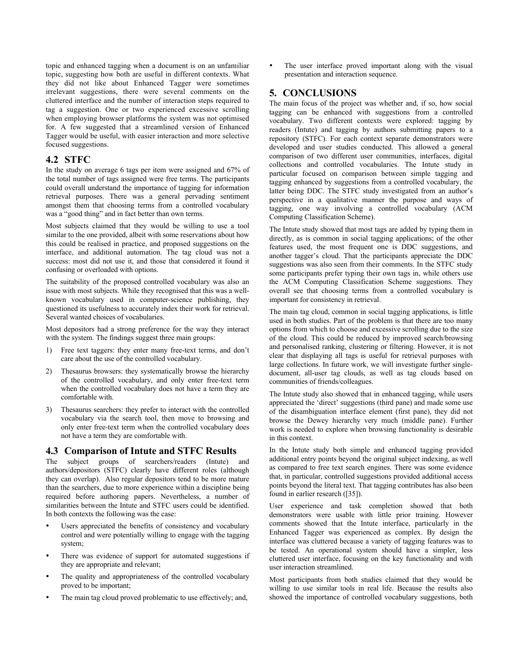topic and enhanced tagging when a document is on an unfamiliar topic, suggesting how both are useful in different contexts. What they did not like about Enhanced Tagger were sometimes irrelevant suggestions, there were several comments on the cluttered interface and the number of interaction steps required to tag a suggestion. One or two experienced excessive scrolling when employing browser platforms the system was not optimised for. A few suggested that a streamlined version of Enhanced Tagger would be useful, with easier interaction and more selective focused suggestions.

# **4.2 STFC**

In the study on average 6 tags per item were assigned and 67% of the total number of tags assigned were free terms. The participants could overall understand the importance of tagging for information retrieval purposes. There was a general pervading sentiment amongst them that choosing terms from a controlled vocabulary was a "good thing" and in fact better than own terms.

Most subjects claimed that they would be willing to use a tool similar to the one provided, albeit with some reservations about how this could be realised in practice, and proposed suggestions on the interface, and additional automation. The tag cloud was not a success: most did not use it, and those that considered it found it confusing or overloaded with options.

The suitability of the proposed controlled vocabulary was also an issue with most subjects. While they recognised that this was a wellknown vocabulary used in computer-science publishing, they questioned its usefulness to accurately index their work for retrieval. Several wanted choices of vocabularies.

Most depositors had a strong preference for the way they interact with the system. The findings suggest three main groups:

- 1) Free text taggers: they enter many free-text terms, and don't care about the use of the controlled vocabulary.
- 2) Thesaurus browsers: they systematically browse the hierarchy of the controlled vocabulary, and only enter free-text term when the controlled vocabulary does not have a term they are comfortable with.
- 3) Thesaurus searchers: they prefer to interact with the controlled vocabulary via the search tool, then move to browsing and only enter free-text term when the controlled vocabulary does not have a term they are comfortable with.

# **4.3 Comparison of Intute and STFC Results**

The subject groups of searchers/readers (Intute) and authors/depositors (STFC) clearly have different roles (although they can overlap). Also regular depositors tend to be more mature than the searchers, due to more experience within a discipline being required before authoring papers. Nevertheless, a number of similarities between the Intute and STFC users could be identified. In both contexts the following was the case:

- Users appreciated the benefits of consistency and vocabulary control and were potentially willing to engage with the tagging system;
- There was evidence of support for automated suggestions if they are appropriate and relevant;
- The quality and appropriateness of the controlled vocabulary proved to be important;
- The main tag cloud proved problematic to use effectively; and,

The user interface proved important along with the visual presentation and interaction sequence.

# **5. CONCLUSIONS**

The main focus of the project was whether and, if so, how social tagging can be enhanced with suggestions from a controlled vocabulary. Two different contexts were explored: tagging by readers (Intute) and tagging by authors submitting papers to a repository (STFC). For each context separate demonstrators were developed and user studies conducted. This allowed a general comparison of two different user communities, interfaces, digital collections and controlled vocabularies. The Intute study in particular focused on comparison between simple tagging and tagging enhanced by suggestions from a controlled vocabulary, the latter being DDC. The STFC study investigated from an author's perspective in a qualitative manner the purpose and ways of tagging, one way involving a controlled vocabulary (ACM Computing Classification Scheme).

The Intute study showed that most tags are added by typing them in directly, as is common in social tagging applications; of the other features used, the most frequent one is DDC suggestions, and another tagger's cloud. That the participants appreciate the DDC suggestions was also seen from their comments. In the STFC study some participants prefer typing their own tags in, while others use the ACM Computing Classification Scheme suggestions. They overall see that choosing terms from a controlled vocabulary is important for consistency in retrieval.

The main tag cloud, common in social tagging applications, is little used in both studies. Part of the problem is that there are too many options from which to choose and excessive scrolling due to the size of the cloud. This could be reduced by improved search/browsing and personalised ranking, clustering or filtering. However, it is not clear that displaying all tags is useful for retrieval purposes with large collections. In future work, we will investigate further singledocument, all-user tag clouds, as well as tag clouds based on communities of friends/colleagues.

The Intute study also showed that in enhanced tagging, while users appreciated the 'direct' suggestions (third pane) and made some use of the disambiguation interface element (first pane), they did not browse the Dewey hierarchy very much (middle pane). Further work is needed to explore when browsing functionality is desirable in this context.

In the Intute study both simple and enhanced tagging provided additional entry points beyond the original subject indexing, as well as compared to free text search engines. There was some evidence that, in particular, controlled suggestions provided additional access points beyond the literal text. That tagging contributes has also been found in earlier research ([35]).

User experience and task completion showed that both demonstrators were usable with little prior training. However comments showed that the Intute interface, particularly in the Enhanced Tagger was experienced as complex. By design the interface was cluttered because a variety of tagging features was to be tested. An operational system should have a simpler, less cluttered user interface, focusing on the key functionality and with user interaction streamlined.

Most participants from both studies claimed that they would be willing to use similar tools in real life. Because the results also showed the importance of controlled vocabulary suggestions, both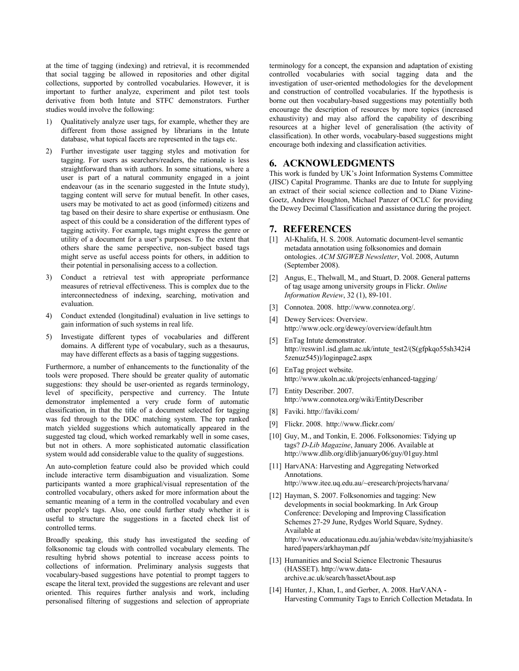at the time of tagging (indexing) and retrieval, it is recommended that social tagging be allowed in repositories and other digital collections, supported by controlled vocabularies. However, it is important to further analyze, experiment and pilot test tools derivative from both Intute and STFC demonstrators. Further studies would involve the following:

- 1) Qualitatively analyze user tags, for example, whether they are different from those assigned by librarians in the Intute database, what topical facets are represented in the tags etc.
- 2) Further investigate user tagging styles and motivation for tagging. For users as searchers/readers, the rationale is less straightforward than with authors. In some situations, where a user is part of a natural community engaged in a joint endeavour (as in the scenario suggested in the Intute study), tagging content will serve for mutual benefit. In other cases, users may be motivated to act as good (informed) citizens and tag based on their desire to share expertise or enthusiasm. One aspect of this could be a consideration of the different types of tagging activity. For example, tags might express the genre or utility of a document for a user's purposes. To the extent that others share the same perspective, non-subject based tags might serve as useful access points for others, in addition to their potential in personalising access to a collection.
- 3) Conduct a retrieval test with appropriate performance measures of retrieval effectiveness. This is complex due to the interconnectedness of indexing, searching, motivation and evaluation.
- 4) Conduct extended (longitudinal) evaluation in live settings to gain information of such systems in real life.
- 5) Investigate different types of vocabularies and different domains. A different type of vocabulary, such as a thesaurus, may have different effects as a basis of tagging suggestions.

Furthermore, a number of enhancements to the functionality of the tools were proposed. There should be greater quality of automatic suggestions: they should be user-oriented as regards terminology, level of specificity, perspective and currency. The Intute demonstrator implemented a very crude form of automatic classification, in that the title of a document selected for tagging was fed through to the DDC matching system. The top ranked match yielded suggestions which automatically appeared in the suggested tag cloud, which worked remarkably well in some cases, but not in others. A more sophisticated automatic classification system would add considerable value to the quality of suggestions.

An auto-completion feature could also be provided which could include interactive term disambiguation and visualization. Some participants wanted a more graphical/visual representation of the controlled vocabulary, others asked for more information about the semantic meaning of a term in the controlled vocabulary and even other people's tags. Also, one could further study whether it is useful to structure the suggestions in a faceted check list of controlled terms.

Broadly speaking, this study has investigated the seeding of folksonomic tag clouds with controlled vocabulary elements. The resulting hybrid shows potential to increase access points to collections of information. Preliminary analysis suggests that vocabulary-based suggestions have potential to prompt taggers to escape the literal text, provided the suggestions are relevant and user oriented. This requires further analysis and work, including personalised filtering of suggestions and selection of appropriate terminology for a concept, the expansion and adaptation of existing controlled vocabularies with social tagging data and the investigation of user-oriented methodologies for the development and construction of controlled vocabularies. If the hypothesis is borne out then vocabulary-based suggestions may potentially both encourage the description of resources by more topics (increased exhaustivity) and may also afford the capability of describing resources at a higher level of generalisation (the activity of classification). In other words, vocabulary-based suggestions might encourage both indexing and classification activities.

## **6. ACKNOWLEDGMENTS**

This work is funded by UK's Joint Information Systems Committee (JISC) Capital Programme. Thanks are due to Intute for supplying an extract of their social science collection and to Diane Vizine-Goetz, Andrew Houghton, Michael Panzer of OCLC for providing the Dewey Decimal Classification and assistance during the project.

## **7. REFERENCES**

- [1] Al-Khalifa, H. S. 2008. Automatic document-level semantic metadata annotation using folksonomies and domain ontologies. *ACM SIGWEB Newsletter*, Vol. 2008, Autumn (September 2008).
- [2] Angus, E., Thelwall, M., and Stuart, D. 2008. General patterns of tag usage among university groups in Flickr. *Online Information Review*, 32 (1), 89-101.
- [3] Connotea. 2008. http://www.connotea.org/.
- [4] Dewey Services: Overview. http://www.oclc.org/dewey/overview/default.htm
- [5] EnTag Intute demonstrator. http://reswin1.isd.glam.ac.uk/intute\_test2/(S(gfpkqo55sh342i4 5zenuz545))/loginpage2.aspx
- [6] EnTag project website. http://www.ukoln.ac.uk/projects/enhanced-tagging/
- [7] Entity Describer. 2007. http://www.connotea.org/wiki/EntityDescriber
- [8] Faviki. http://faviki.com/
- [9] Flickr. 2008. http://www.flickr.com/
- [10] Guy, M., and Tonkin, E. 2006. Folksonomies: Tidying up tags? *D-Lib Magazine*, January 2006. Available at http://www.dlib.org/dlib/january06/guy/01guy.html
- [11] HarvANA: Harvesting and Aggregating Networked Annotations. http://www.itee.uq.edu.au/~eresearch/projects/harvana/
- [12] Hayman, S. 2007. Folksonomies and tagging: New developments in social bookmarking. In Ark Group Conference: Developing and Improving Classification Schemes 27-29 June, Rydges World Square, Sydney. Available at http://www.educationau.edu.au/jahia/webdav/site/myjahiasite/s hared/papers/arkhayman.pdf
- [13] Humanities and Social Science Electronic Thesaurus (HASSET). http://www.dataarchive.ac.uk/search/hassetAbout.asp
- [14] Hunter, J., Khan, I., and Gerber, A. 2008. HarVANA -Harvesting Community Tags to Enrich Collection Metadata. In